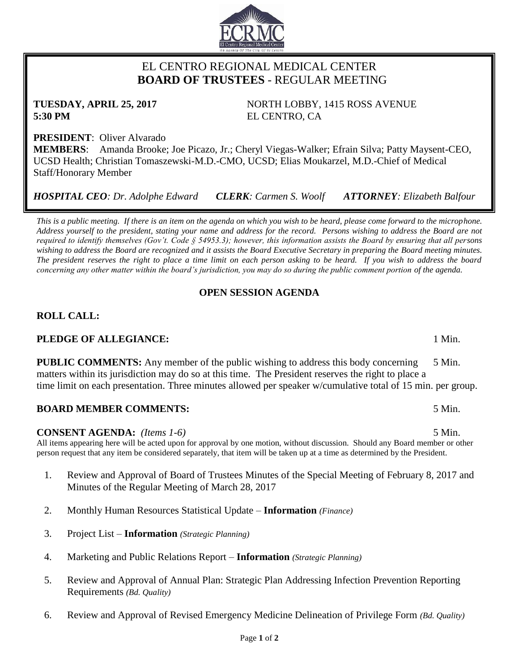# EL CENTRO REGIONAL MEDICAL CENTER  **BOARD OF TRUSTEES** - REGULAR MEETING

**TUESDAY, APRIL 25, 2017** NORTH LOBBY, 1415 ROSS AVENUE **5:30 PM** EL CENTRO, CA

**PRESIDENT**: Oliver Alvarado **MEMBERS**: Amanda Brooke; Joe Picazo, Jr.; Cheryl Viegas-Walker; Efrain Silva; Patty Maysent-CEO, UCSD Health; Christian Tomaszewski-M.D.-CMO, UCSD; Elias Moukarzel, M.D.-Chief of Medical Staff/Honorary Member

*HOSPITAL CEO: Dr. Adolphe Edward CLERK: Carmen S. Woolf ATTORNEY: Elizabeth Balfour*

*This is a public meeting. If there is an item on the agenda on which you wish to be heard, please come forward to the microphone. Address yourself to the president, stating your name and address for the record. Persons wishing to address the Board are not required to identify themselves (Gov't. Code § 54953.3); however, this information assists the Board by ensuring that all persons wishing to address the Board are recognized and it assists the Board Executive Secretary in preparing the Board meeting minutes. The president reserves the right to place a time limit on each person asking to be heard. If you wish to address the board concerning any other matter within the board's jurisdiction, you may do so during the public comment portion of the agenda.*

# **OPEN SESSION AGENDA**

# **ROLL CALL:**

# **PLEDGE OF ALLEGIANCE:** 1 Min.

**PUBLIC COMMENTS:** Any member of the public wishing to address this body concerning 5 Min. matters within its jurisdiction may do so at this time. The President reserves the right to place a time limit on each presentation. Three minutes allowed per speaker w/cumulative total of 15 min. per group.

# **BOARD MEMBER COMMENTS:** 5 Min.

# **CONSENT AGENDA:** *(Items 1-6)* 5 Min.

All items appearing here will be acted upon for approval by one motion, without discussion. Should any Board member or other person request that any item be considered separately, that item will be taken up at a time as determined by the President.

- 1. Review and Approval of Board of Trustees Minutes of the Special Meeting of February 8, 2017 and Minutes of the Regular Meeting of March 28, 2017
- 2. Monthly Human Resources Statistical Update **Information** *(Finance)*
- 3. Project List **Information** *(Strategic Planning)*
- 4. Marketing and Public Relations Report **Information** *(Strategic Planning)*
- 5. Review and Approval of Annual Plan: Strategic Plan Addressing Infection Prevention Reporting Requirements *(Bd. Quality)*
- 6. Review and Approval of Revised Emergency Medicine Delineation of Privilege Form *(Bd. Quality)*